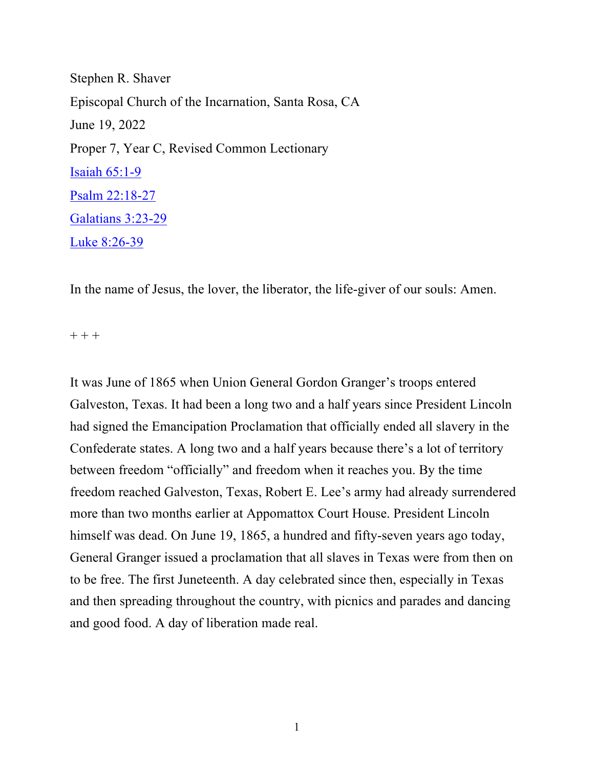Stephen R. Shaver Episcopal Church of the Incarnation, Santa Rosa, CA June 19, 2022 Proper 7, Year C, Revised Common Lectionary Isaiah 65:1-9 Psalm 22:18-27 Galatians 3:23-29 Luke 8:26-39

In the name of Jesus, the lover, the liberator, the life-giver of our souls: Amen.

 $+ + +$ 

It was June of 1865 when Union General Gordon Granger's troops entered Galveston, Texas. It had been a long two and a half years since President Lincoln had signed the Emancipation Proclamation that officially ended all slavery in the Confederate states. A long two and a half years because there's a lot of territory between freedom "officially" and freedom when it reaches you. By the time freedom reached Galveston, Texas, Robert E. Lee's army had already surrendered more than two months earlier at Appomattox Court House. President Lincoln himself was dead. On June 19, 1865, a hundred and fifty-seven years ago today, General Granger issued a proclamation that all slaves in Texas were from then on to be free. The first Juneteenth. A day celebrated since then, especially in Texas and then spreading throughout the country, with picnics and parades and dancing and good food. A day of liberation made real.

1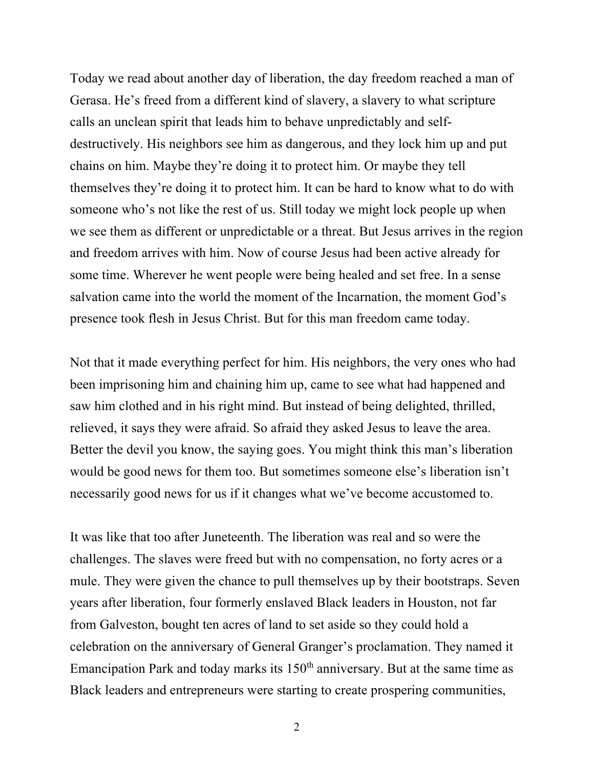Today we read about another day of liberation, the day freedom reached a man of Gerasa. He's freed from a different kind of slavery, a slavery to what scripture calls an unclean spirit that leads him to behave unpredictably and selfdestructively. His neighbors see him as dangerous, and they lock him up and put chains on him. Maybe they're doing it to protect him. Or maybe they tell themselves they're doing it to protect him. It can be hard to know what to do with someone who's not like the rest of us. Still today we might lock people up when we see them as different or unpredictable or a threat. But Jesus arrives in the region and freedom arrives with him. Now of course Jesus had been active already for some time. Wherever he went people were being healed and set free. In a sense salvation came into the world the moment of the Incarnation, the moment God's presence took flesh in Jesus Christ. But for this man freedom came today.

Not that it made everything perfect for him. His neighbors, the very ones who had been imprisoning him and chaining him up, came to see what had happened and saw him clothed and in his right mind. But instead of being delighted, thrilled, relieved, it says they were afraid. So afraid they asked Jesus to leave the area. Better the devil you know, the saying goes. You might think this man's liberation would be good news for them too. But sometimes someone else's liberation isn't necessarily good news for us if it changes what we've become accustomed to.

It was like that too after Juneteenth. The liberation was real and so were the challenges. The slaves were freed but with no compensation, no forty acres or a mule. They were given the chance to pull themselves up by their bootstraps. Seven years after liberation, four formerly enslaved Black leaders in Houston, not far from Galveston, bought ten acres of land to set aside so they could hold a celebration on the anniversary of General Granger's proclamation. They named it Emancipation Park and today marks its  $150<sup>th</sup>$  anniversary. But at the same time as Black leaders and entrepreneurs were starting to create prospering communities,

2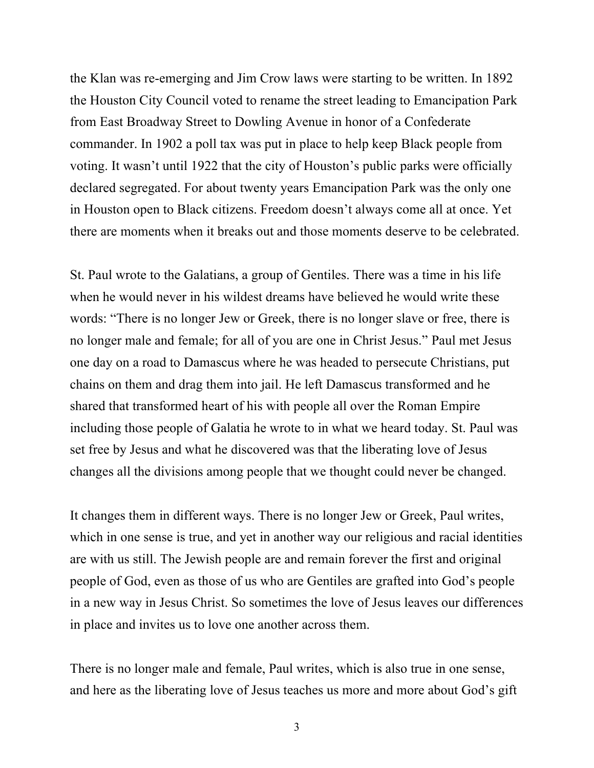the Klan was re-emerging and Jim Crow laws were starting to be written. In 1892 the Houston City Council voted to rename the street leading to Emancipation Park from East Broadway Street to Dowling Avenue in honor of a Confederate commander. In 1902 a poll tax was put in place to help keep Black people from voting. It wasn't until 1922 that the city of Houston's public parks were officially declared segregated. For about twenty years Emancipation Park was the only one in Houston open to Black citizens. Freedom doesn't always come all at once. Yet there are moments when it breaks out and those moments deserve to be celebrated.

St. Paul wrote to the Galatians, a group of Gentiles. There was a time in his life when he would never in his wildest dreams have believed he would write these words: "There is no longer Jew or Greek, there is no longer slave or free, there is no longer male and female; for all of you are one in Christ Jesus." Paul met Jesus one day on a road to Damascus where he was headed to persecute Christians, put chains on them and drag them into jail. He left Damascus transformed and he shared that transformed heart of his with people all over the Roman Empire including those people of Galatia he wrote to in what we heard today. St. Paul was set free by Jesus and what he discovered was that the liberating love of Jesus changes all the divisions among people that we thought could never be changed.

It changes them in different ways. There is no longer Jew or Greek, Paul writes, which in one sense is true, and yet in another way our religious and racial identities are with us still. The Jewish people are and remain forever the first and original people of God, even as those of us who are Gentiles are grafted into God's people in a new way in Jesus Christ. So sometimes the love of Jesus leaves our differences in place and invites us to love one another across them.

There is no longer male and female, Paul writes, which is also true in one sense, and here as the liberating love of Jesus teaches us more and more about God's gift

3